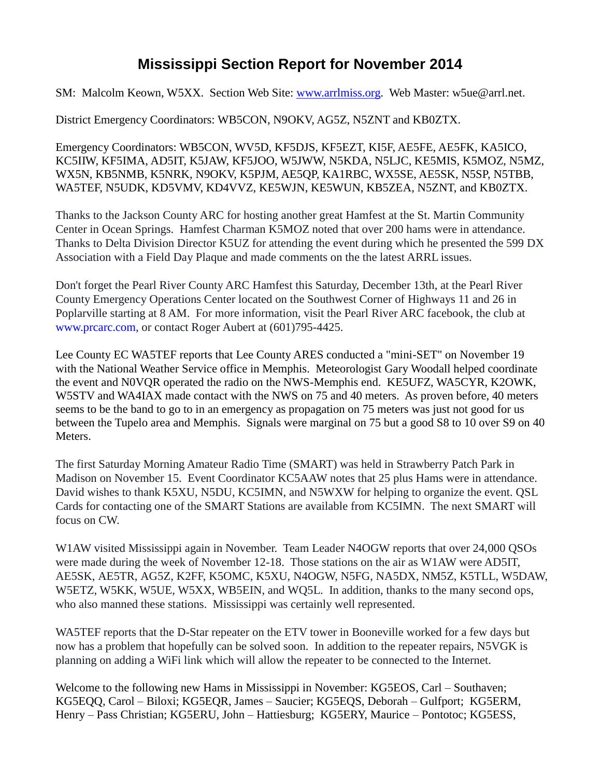## **Mississippi Section Report for November 2014**

SM: Malcolm Keown, W5XX. Section Web Site: [www.arrlmiss.org.](http://www.arrlmiss.org/) Web Master: w5ue@arrl.net.

District Emergency Coordinators: WB5CON, N9OKV, AG5Z, N5ZNT and KB0ZTX.

Emergency Coordinators: WB5CON, WV5D, KF5DJS, KF5EZT, KI5F, AE5FE, AE5FK, KA5ICO, KC5IIW, KF5IMA, AD5IT, K5JAW, KF5JOO, W5JWW, N5KDA, N5LJC, KE5MIS, K5MOZ, N5MZ, WX5N, KB5NMB, K5NRK, N9OKV, K5PJM, AE5QP, KA1RBC, WX5SE, AE5SK, N5SP, N5TBB, WA5TEF, N5UDK, KD5VMV, KD4VVZ, KE5WJN, KE5WUN, KB5ZEA, N5ZNT, and KB0ZTX.

Thanks to the Jackson County ARC for hosting another great Hamfest at the St. Martin Community Center in Ocean Springs. Hamfest Charman K5MOZ noted that over 200 hams were in attendance. Thanks to Delta Division Director K5UZ for attending the event during which he presented the 599 DX Association with a Field Day Plaque and made comments on the the latest ARRL issues.

Don't forget the Pearl River County ARC Hamfest this Saturday, December 13th, at the Pearl River County Emergency Operations Center located on the Southwest Corner of Highways 11 and 26 in Poplarville starting at 8 AM. For more information, visit the Pearl River ARC facebook, the club at [www.prcarc.com,](mailbox://C:/Users/w5xx/AppData/Roaming/Thunderbird/Profiles/d5fyy04a.default/Mail/mail.nts-online.net/Inbox?number=149215965) or contact Roger Aubert at (601)795-4425.

Lee County EC WA5TEF reports that Lee County ARES conducted a "mini-SET" on November 19 with the National Weather Service office in Memphis. Meteorologist Gary Woodall helped coordinate the event and N0VQR operated the radio on the NWS-Memphis end. KE5UFZ, WA5CYR, K2OWK, W5STV and WA4IAX made contact with the NWS on 75 and 40 meters. As proven before, 40 meters seems to be the band to go to in an emergency as propagation on 75 meters was just not good for us between the Tupelo area and Memphis. Signals were marginal on 75 but a good S8 to 10 over S9 on 40 Meters.

The first Saturday Morning Amateur Radio Time (SMART) was held in Strawberry Patch Park in Madison on November 15. Event Coordinator KC5AAW notes that 25 plus Hams were in attendance. David wishes to thank K5XU, N5DU, KC5IMN, and N5WXW for helping to organize the event. QSL Cards for contacting one of the SMART Stations are available from KC5IMN. The next SMART will focus on CW.

W1AW visited Mississippi again in November. Team Leader N4OGW reports that over 24,000 QSOs were made during the week of November 12-18. Those stations on the air as W1AW were AD5IT, AE5SK, AE5TR, AG5Z, K2FF, K5OMC, K5XU, N4OGW, N5FG, NA5DX, NM5Z, K5TLL, W5DAW, W5ETZ, W5KK, W5UE, W5XX, WB5EIN, and WQ5L. In addition, thanks to the many second ops, who also manned these stations. Mississippi was certainly well represented.

WA5TEF reports that the D-Star repeater on the ETV tower in Booneville worked for a few days but now has a problem that hopefully can be solved soon. In addition to the repeater repairs, N5VGK is planning on adding a WiFi link which will allow the repeater to be connected to the Internet.

Welcome to the following new Hams in Mississippi in November: KG5EOS, Carl – Southaven; KG5EQQ, Carol – Biloxi; KG5EQR, James – Saucier; KG5EQS, Deborah – Gulfport; KG5ERM, Henry – Pass Christian; KG5ERU, John – Hattiesburg; KG5ERY, Maurice – Pontotoc; KG5ESS,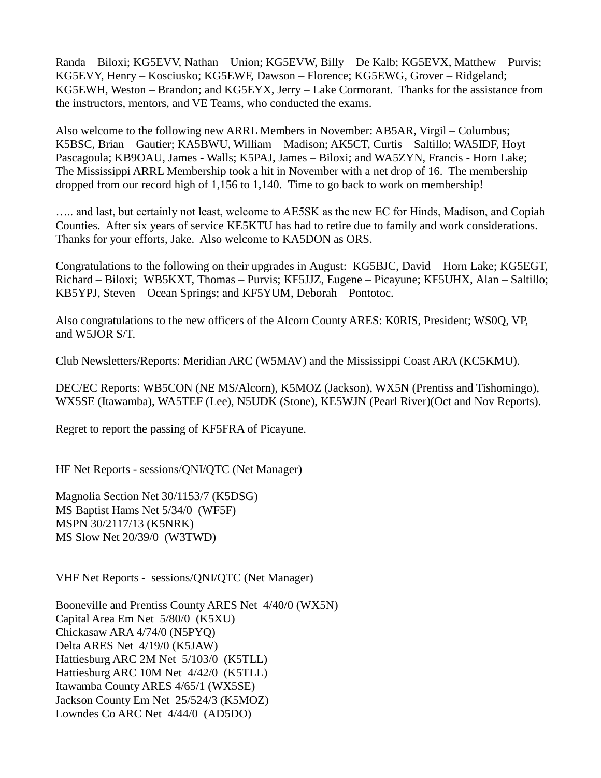Randa – Biloxi; KG5EVV, Nathan – Union; KG5EVW, Billy – De Kalb; KG5EVX, Matthew – Purvis; KG5EVY, Henry – Kosciusko; KG5EWF, Dawson – Florence; KG5EWG, Grover – Ridgeland; KG5EWH, Weston – Brandon; and KG5EYX, Jerry – Lake Cormorant. Thanks for the assistance from the instructors, mentors, and VE Teams, who conducted the exams.

Also welcome to the following new ARRL Members in November: AB5AR, Virgil – Columbus; K5BSC, Brian – Gautier; KA5BWU, William – Madison; AK5CT, Curtis – Saltillo; WA5IDF, Hoyt – Pascagoula; KB9OAU, James - Walls; K5PAJ, James – Biloxi; and WA5ZYN, Francis - Horn Lake; The Mississippi ARRL Membership took a hit in November with a net drop of 16. The membership dropped from our record high of 1,156 to 1,140. Time to go back to work on membership!

..... and last, but certainly not least, welcome to AE5SK as the new EC for Hinds, Madison, and Copiah Counties. After six years of service KE5KTU has had to retire due to family and work considerations. Thanks for your efforts, Jake. Also welcome to KA5DON as ORS.

Congratulations to the following on their upgrades in August: KG5BJC, David – Horn Lake; KG5EGT, Richard – Biloxi; WB5KXT, Thomas – Purvis; KF5JJZ, Eugene – Picayune; KF5UHX, Alan – Saltillo; KB5YPJ, Steven – Ocean Springs; and KF5YUM, Deborah – Pontotoc.

Also congratulations to the new officers of the Alcorn County ARES: K0RIS, President; WS0Q, VP, and W5JOR S/T.

Club Newsletters/Reports: Meridian ARC (W5MAV) and the Mississippi Coast ARA (KC5KMU).

DEC/EC Reports: WB5CON (NE MS/Alcorn), K5MOZ (Jackson), WX5N (Prentiss and Tishomingo), WX5SE (Itawamba), WA5TEF (Lee), N5UDK (Stone), KE5WJN (Pearl River)(Oct and Nov Reports).

Regret to report the passing of KF5FRA of Picayune.

HF Net Reports - sessions/QNI/QTC (Net Manager)

Magnolia Section Net 30/1153/7 (K5DSG) MS Baptist Hams Net 5/34/0 (WF5F) MSPN 30/2117/13 (K5NRK) MS Slow Net 20/39/0 (W3TWD)

VHF Net Reports - sessions/QNI/QTC (Net Manager)

Booneville and Prentiss County ARES Net 4/40/0 (WX5N) Capital Area Em Net 5/80/0 (K5XU) Chickasaw ARA 4/74/0 (N5PYQ) Delta ARES Net 4/19/0 (K5JAW) Hattiesburg ARC 2M Net 5/103/0 (K5TLL) Hattiesburg ARC 10M Net 4/42/0 (K5TLL) Itawamba County ARES 4/65/1 (WX5SE) Jackson County Em Net 25/524/3 (K5MOZ) Lowndes Co ARC Net 4/44/0 (AD5DO)